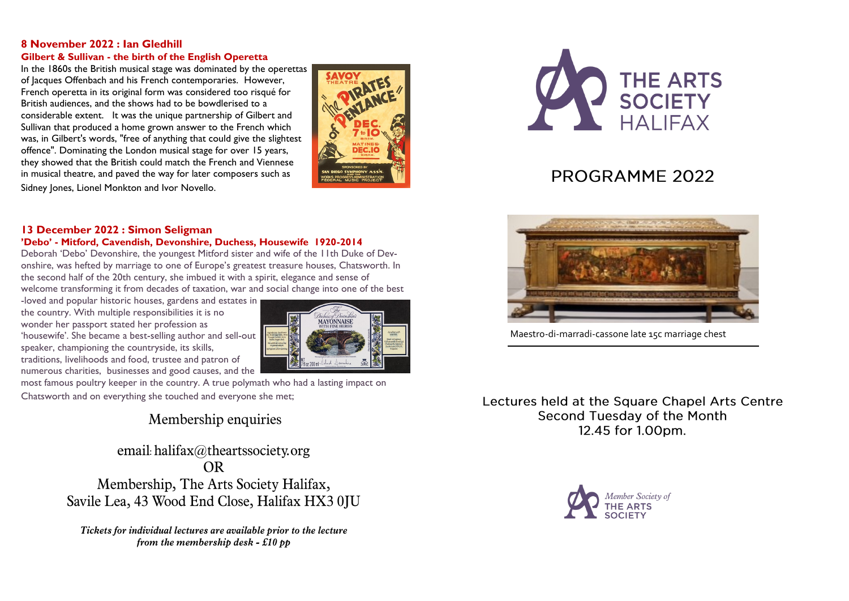#### **8 November 2022 : Ian Gledhill Gilbert & Sullivan - the birth of the English Operetta**

In the 1860s the British musical stage was dominated by the operettas of Jacques Offenbach and his French contemporaries. However, French operetta in its original form was considered too risqué for British audiences, and the shows had to be bowdlerised to a considerable extent. It was the unique partnership of Gilbert and Sullivan that produced a home grown answer to the French which was, in Gilbert's words, "free of anything that could give the slightest offence". Dominating the London musical stage for over 15 years, they showed that the British could match the French and Viennese in musical theatre, and paved the way for later composers such as Sidney Jones, Lionel Monkton and Ivor Novello.



#### **13 December 2022 : Simon Seligman 'Debo' - Mitford, Cavendish, Devonshire, Duchess, Housewife 1920-2014**

Deborah 'Debo' Devonshire, the youngest Mitford sister and wife of the 11th Duke of Devonshire, was hefted by marriage to one of Europe's greatest treasure houses, Chatsworth. In the second half of the 20th century, she imbued it with a spirit, elegance and sense of welcome transforming it from decades of taxation, war and social change into one of the best

-loved and popular historic houses, gardens and estates in the country. With multiple responsibilities it is no wonder her passport stated her profession as 'housewife'. She became a best-selling author and sell-out speaker, championing the countryside, its skills, traditions, livelihoods and food, trustee and patron of numerous charities, businesses and good causes, and the



most famous poultry keeper in the country. A true polymath who had a lasting impact on Chatsworth and on everything she touched and everyone she met;

## Membership enquiries

email: halifax@theartssociety.org **OR** Membership, The Arts Society Halifax, Savile Lea, 43 Wood End Close, Halifax HX3 0JU

Tickets for individual lectures are available prior to the lecture from the membership desk -  $£10$  pp



# PROGRAMME 2022



Maestro-di-marradi-cassone late 15c marriage chest

Lectures held at the Square Chapel Arts Centre Second Tuesday of the Month 12.45 for 1.00pm.